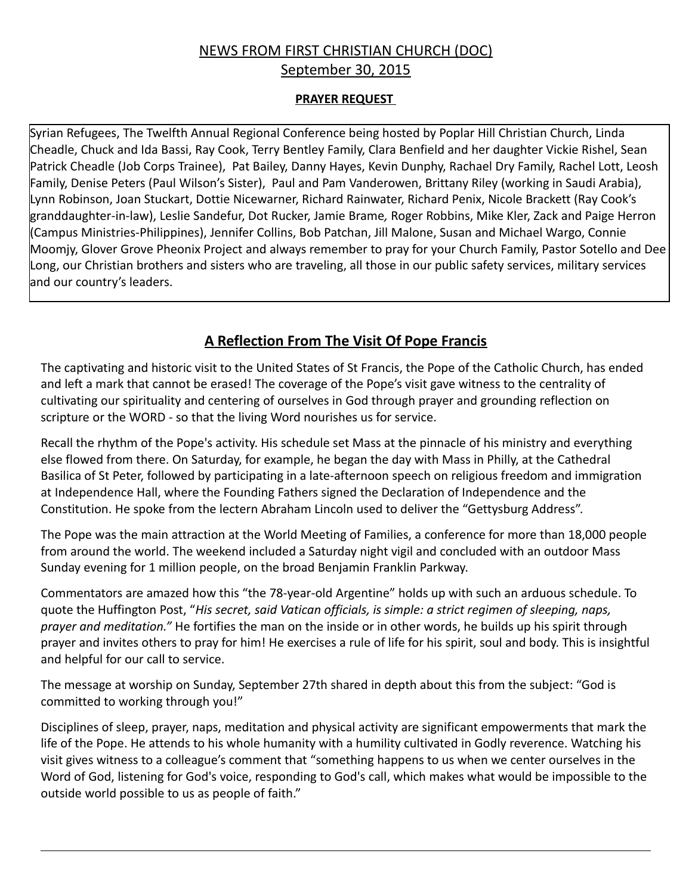# NEWS FROM FIRST CHRISTIAN CHURCH (DOC) September 30, 2015

#### **PRAYER REQUEST**

Syrian Refugees, The Twelfth Annual Regional Conference being hosted by Poplar Hill Christian Church, Linda Cheadle, Chuck and Ida Bassi, Ray Cook, Terry Bentley Family, Clara Benfield and her daughter Vickie Rishel, Sean Patrick Cheadle (Job Corps Trainee), Pat Bailey, Danny Hayes, Kevin Dunphy, Rachael Dry Family, Rachel Lott, Leosh Family, Denise Peters (Paul Wilson's Sister), Paul and Pam Vanderowen, Brittany Riley (working in Saudi Arabia), Lynn Robinson, Joan Stuckart, Dottie Nicewarner, Richard Rainwater, Richard Penix, Nicole Brackett (Ray Cook's granddaughter-in-law), Leslie Sandefur, Dot Rucker, Jamie Brame*,* Roger Robbins, Mike Kler, Zack and Paige Herron (Campus Ministries-Philippines), Jennifer Collins, Bob Patchan, Jill Malone, Susan and Michael Wargo, Connie Moomjy, Glover Grove Pheonix Project and always remember to pray for your Church Family, Pastor Sotello and Dee Long, our Christian brothers and sisters who are traveling, all those in our public safety services, military services and our country's leaders.

## **A Reflection From The Visit Of Pope Francis**

The captivating and historic visit to the United States of St Francis, the Pope of the Catholic Church, has ended and left a mark that cannot be erased! The coverage of the Pope's visit gave witness to the centrality of cultivating our spirituality and centering of ourselves in God through prayer and grounding reflection on scripture or the WORD - so that the living Word nourishes us for service.

Recall the rhythm of the Pope's activity. His schedule set Mass at the pinnacle of his ministry and everything else flowed from there. On Saturday, for example, he began the day with Mass in Philly, at the Cathedral Basilica of St Peter, followed by participating in a late-afternoon speech on religious freedom and immigration at Independence Hall, where the Founding Fathers signed the Declaration of Independence and the Constitution. He spoke from the lectern Abraham Lincoln used to deliver the "Gettysburg Address".

The Pope was the main attraction at the World Meeting of Families, a conference for more than 18,000 people from around the world. The weekend included a Saturday night vigil and concluded with an outdoor Mass Sunday evening for 1 million people, on the broad Benjamin Franklin Parkway.

Commentators are amazed how this "the 78-year-old Argentine" holds up with such an arduous schedule. To quote the Huffington Post, "*His secret, said Vatican officials, is simple: a strict regimen of sleeping, naps, prayer and meditation."* He fortifies the man on the inside or in other words, he builds up his spirit through prayer and invites others to pray for him! He exercises a rule of life for his spirit, soul and body. This is insightful and helpful for our call to service.

The message at worship on Sunday, September 27th shared in depth about this from the subject: "God is committed to working through you!"

Disciplines of sleep, prayer, naps, meditation and physical activity are significant empowerments that mark the life of the Pope. He attends to his whole humanity with a humility cultivated in Godly reverence. Watching his visit gives witness to a colleague's comment that "something happens to us when we center ourselves in the Word of God, listening for God's voice, responding to God's call, which makes what would be impossible to the outside world possible to us as people of faith."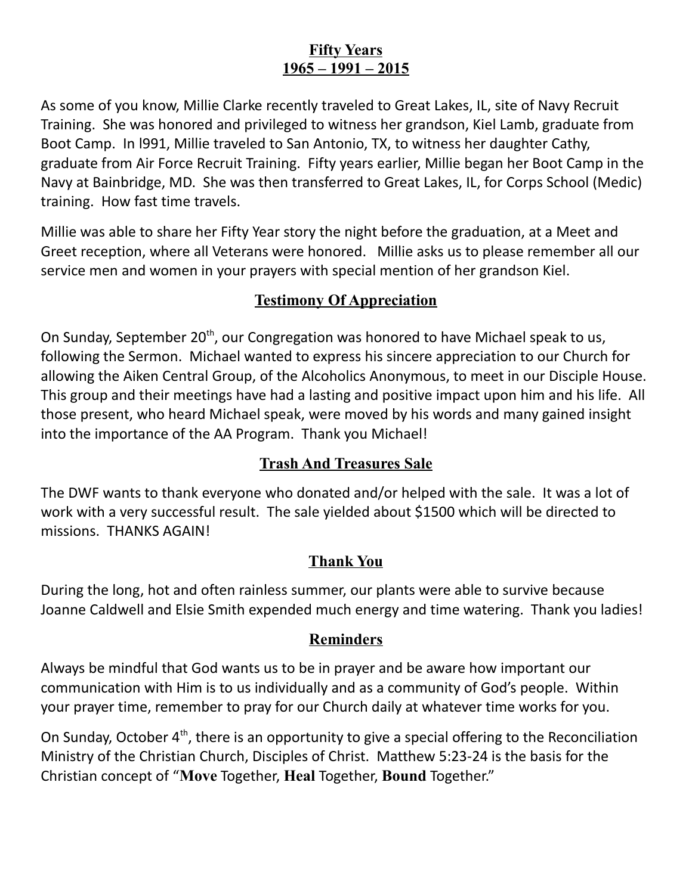# **Fifty Years 1965 – 1991 – 2015**

As some of you know, Millie Clarke recently traveled to Great Lakes, IL, site of Navy Recruit Training. She was honored and privileged to witness her grandson, Kiel Lamb, graduate from Boot Camp. In l991, Millie traveled to San Antonio, TX, to witness her daughter Cathy, graduate from Air Force Recruit Training. Fifty years earlier, Millie began her Boot Camp in the Navy at Bainbridge, MD. She was then transferred to Great Lakes, IL, for Corps School (Medic) training. How fast time travels.

Millie was able to share her Fifty Year story the night before the graduation, at a Meet and Greet reception, where all Veterans were honored. Millie asks us to please remember all our service men and women in your prayers with special mention of her grandson Kiel.

### **Testimony Of Appreciation**

On Sunday, September 20<sup>th</sup>, our Congregation was honored to have Michael speak to us, following the Sermon. Michael wanted to express his sincere appreciation to our Church for allowing the Aiken Central Group, of the Alcoholics Anonymous, to meet in our Disciple House. This group and their meetings have had a lasting and positive impact upon him and his life. All those present, who heard Michael speak, were moved by his words and many gained insight into the importance of the AA Program. Thank you Michael!

## **Trash And Treasures Sale**

The DWF wants to thank everyone who donated and/or helped with the sale. It was a lot of work with a very successful result. The sale yielded about \$1500 which will be directed to missions. THANKS AGAIN!

## **Thank You**

During the long, hot and often rainless summer, our plants were able to survive because Joanne Caldwell and Elsie Smith expended much energy and time watering. Thank you ladies!

## **Reminders**

Always be mindful that God wants us to be in prayer and be aware how important our communication with Him is to us individually and as a community of God's people. Within your prayer time, remember to pray for our Church daily at whatever time works for you.

On Sunday, October 4<sup>th</sup>, there is an opportunity to give a special offering to the Reconciliation Ministry of the Christian Church, Disciples of Christ. Matthew 5:23-24 is the basis for the Christian concept of "**Move** Together, **Heal** Together, **Bound** Together."